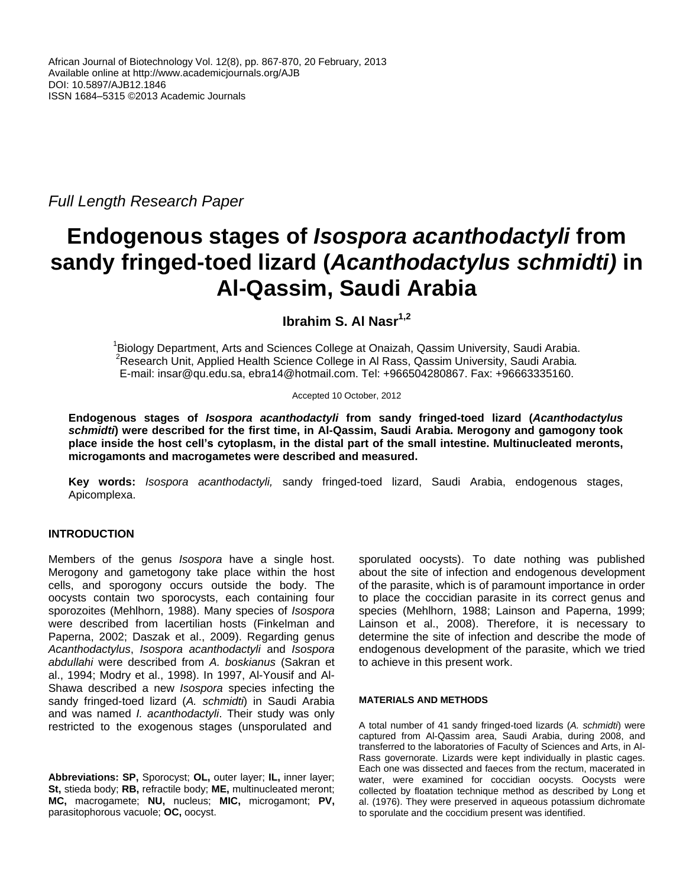*Full Length Research Paper*

# **Endogenous stages of** *Isospora acanthodactyli* **from sandy fringed-toed lizard (***Acanthodactylus schmidti)* **in Al-Qassim, Saudi Arabia**

**Ibrahim S. Al Nasr1,2**

<sup>1</sup>Biology Department, Arts and Sciences College at Onaizah, Qassim University, Saudi Arabia. <sup>2</sup>Research Unit, Applied Health Science College in Al Rass, Qassim University, Saudi Arabia*.* E-mail: insar@qu.edu.sa, ebra14@hotmail.com. Tel: +966504280867. Fax: +96663335160.

Accepted 10 October, 2012

**Endogenous stages of** *Isospora acanthodactyli* **from sandy fringed-toed lizard (***Acanthodactylus schmidti***) were described for the first time, in Al-Qassim, Saudi Arabia. Merogony and gamogony took place inside the host cell's cytoplasm, in the distal part of the small intestine. Multinucleated meronts, microgamonts and macrogametes were described and measured.**

**Key words:** *Isospora acanthodactyli,* sandy fringed-toed lizard, Saudi Arabia, endogenous stages, Apicomplexa.

# **INTRODUCTION**

Members of the genus *Isospora* have a single host. Merogony and gametogony take place within the host cells, and sporogony occurs outside the body. The oocysts contain two sporocysts, each containing four sporozoites (Mehlhorn, 1988). Many species of *Isospora* were described from lacertilian hosts (Finkelman and Paperna, 2002; Daszak et al., 2009). Regarding genus *Acanthodactylus*, *Isospora acanthodactyli* and *Isospora abdullahi* were described from *A. boskianus* (Sakran et al., 1994; Modry et al., 1998). In 1997, Al-Yousif and Al-Shawa described a new *Isospora* species infecting the sandy fringed-toed lizard (*A. schmidti*) in Saudi Arabia and was named *I. acanthodactyli*. Their study was only restricted to the exogenous stages (unsporulated and

**Abbreviations: SP,** Sporocyst; **OL,** outer layer; **IL,** inner layer; **St,** stieda body; **RB,** refractile body; **ME,** multinucleated meront; **MC,** macrogamete; **NU,** nucleus; **MIC,** microgamont; **PV,** parasitophorous vacuole; **OC,** oocyst.

sporulated oocysts). To date nothing was published about the site of infection and endogenous development of the parasite, which is of paramount importance in order to place the coccidian parasite in its correct genus and species (Mehlhorn, 1988; Lainson and Paperna, 1999; Lainson et al., 2008). Therefore, it is necessary to determine the site of infection and describe the mode of endogenous development of the parasite, which we tried to achieve in this present work.

#### **MATERIALS AND METHODS**

A total number of 41 sandy fringed-toed lizards (*A. schmidti*) were captured from Al-Qassim area, Saudi Arabia, during 2008, and transferred to the laboratories of Faculty of Sciences and Arts, in Al-Rass governorate. Lizards were kept individually in plastic cages. Each one was dissected and faeces from the rectum, macerated in water, were examined for coccidian oocysts. Oocysts were collected by floatation technique method as described by Long et al. (1976). They were preserved in aqueous potassium dichromate to sporulate and the coccidium present was identified.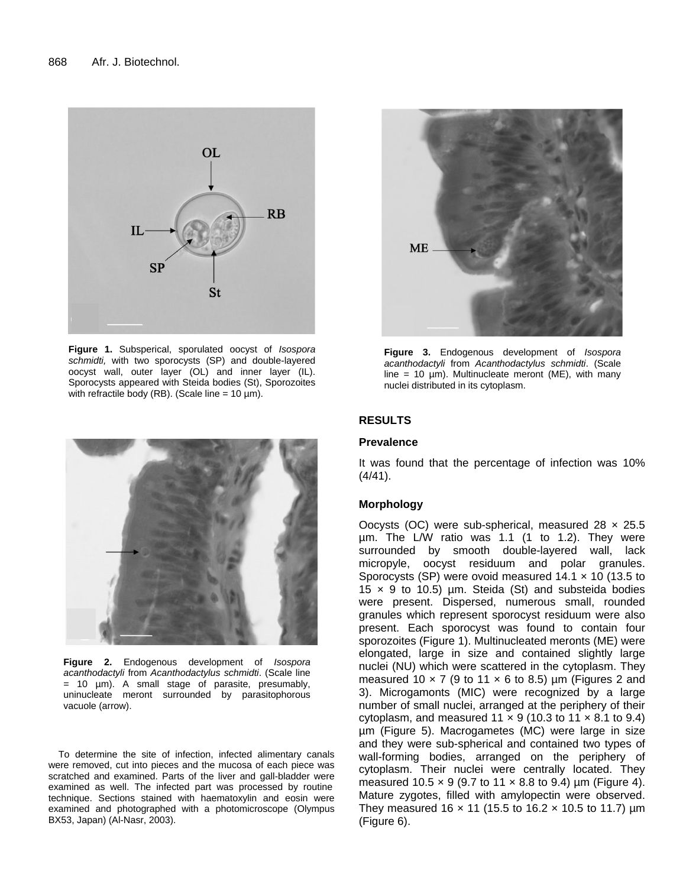

**Figure 1.** Subsperical, sporulated oocyst of *Isospora schmidti,* with two sporocysts (SP) and double-layered oocyst wall, outer layer (OL) and inner layer (IL). Sporocysts appeared with Steida bodies (St), Sporozoites with refractile body (RB). (Scale line =  $10 \mu m$ ).



**Figure 2.** Endogenous development of *Isospora acanthodactyli* from *Acanthodactylus schmidti*. (Scale line = 10 µm). A small stage of parasite, presumably, uninucleate meront surrounded by parasitophorous vacuole (arrow).

To determine the site of infection, infected alimentary canals were removed, cut into pieces and the mucosa of each piece was scratched and examined. Parts of the liver and gall-bladder were examined as well. The infected part was processed by routine technique. Sections stained with haematoxylin and eosin were examined and photographed with a photomicroscope (Olympus BX53, Japan) (Al-Nasr, 2003).



**Figure 3.** Endogenous development of *Isospora acanthodactyli* from *Acanthodactylus schmidti*. (Scale line = 10  $\mu$ m). Multinucleate meront (ME), with many nuclei distributed in its cytoplasm.

#### **RESULTS**

#### **Prevalence**

It was found that the percentage of infection was 10%  $(4/41)$ .

#### **Morphology**

Oocysts (OC) were sub-spherical, measured  $28 \times 25.5$ µm. The L/W ratio was 1.1 (1 to 1.2). They were surrounded by smooth double-layered wall, lack micropyle, oocyst residuum and polar granules. Sporocysts (SP) were ovoid measured  $14.1 \times 10$  (13.5 to 15  $\times$  9 to 10.5) µm. Steida (St) and substeida bodies were present. Dispersed, numerous small, rounded granules which represent sporocyst residuum were also present. Each sporocyst was found to contain four sporozoites (Figure 1). Multinucleated meronts (ME) were elongated, large in size and contained slightly large nuclei (NU) which were scattered in the cytoplasm. They measured 10  $\times$  7 (9 to 11  $\times$  6 to 8.5) µm (Figures 2 and 3). Microgamonts (MIC) were recognized by a large number of small nuclei, arranged at the periphery of their cytoplasm, and measured  $11 \times 9$  (10.3 to  $11 \times 8.1$  to 9.4) µm (Figure 5). Macrogametes (MC) were large in size and they were sub-spherical and contained two types of wall-forming bodies, arranged on the periphery of cytoplasm. Their nuclei were centrally located. They measured 10.5  $\times$  9 (9.7 to 11  $\times$  8.8 to 9.4) µm (Figure 4). Mature zygotes, filled with amylopectin were observed. They measured 16  $\times$  11 (15.5 to 16.2  $\times$  10.5 to 11.7) µm (Figure 6).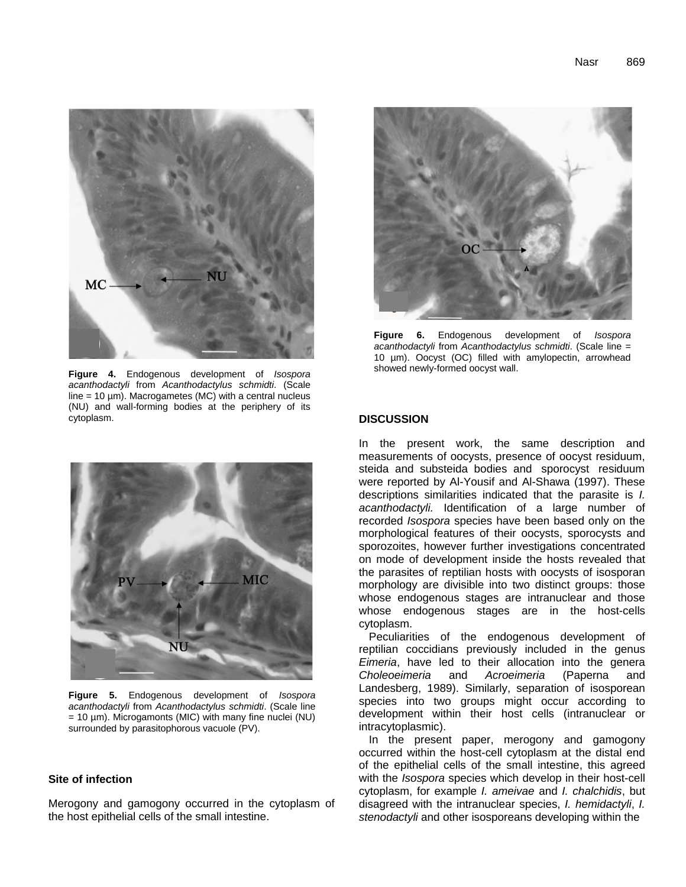

**Figure 4.** Endogenous development of *Isospora acanthodactyli* from *Acanthodactylus schmidti*. (Scale  $line = 10 \mu m$ ). Macrogametes (MC) with a central nucleus (NU) and wall-forming bodies at the periphery of its cytoplasm.



**Figure 5.** Endogenous development of *Isospora acanthodactyli* from *Acanthodactylus schmidti*. (Scale line  $= 10 \mu$ m). Microgamonts (MIC) with many fine nuclei (NU) surrounded by parasitophorous vacuole (PV).

#### **Site of infection**

Merogony and gamogony occurred in the cytoplasm of the host epithelial cells of the small intestine.



**Figure 6.** Endogenous development of *Isospora acanthodactyli* from *Acanthodactylus schmidti*. (Scale line = 10 µm). Oocyst (OC) filled with amylopectin, arrowhead showed newly-formed oocyst wall.

#### **DISCUSSION**

In the present work, the same description and measurements of oocysts, presence of oocyst residuum, steida and substeida bodies and sporocyst residuum were reported by Al-Yousif and Al-Shawa (1997). These descriptions similarities indicated that the parasite is *I. acanthodactyli.* Identification of a large number of recorded *Isospora* species have been based only on the morphological features of their oocysts, sporocysts and sporozoites, however further investigations concentrated on mode of development inside the hosts revealed that the parasites of reptilian hosts with oocysts of isosporan morphology are divisible into two distinct groups: those whose endogenous stages are intranuclear and those whose endogenous stages are in the host-cells cytoplasm.

Peculiarities of the endogenous development of reptilian coccidians previously included in the genus *Eimeria*, have led to their allocation into the genera *Choleoeimeria* and *Acroeimeria* (Paperna and Landesberg, 1989). Similarly, separation of isosporean species into two groups might occur according to development within their host cells (intranuclear or intracytoplasmic).

In the present paper, merogony and gamogony occurred within the host-cell cytoplasm at the distal end of the epithelial cells of the small intestine, this agreed with the *Isospora* species which develop in their host-cell cytoplasm, for example *I. ameivae* and *I. chalchidis*, but disagreed with the intranuclear species, *I. hemidactyli*, *I. stenodactyli* and other isosporeans developing within the